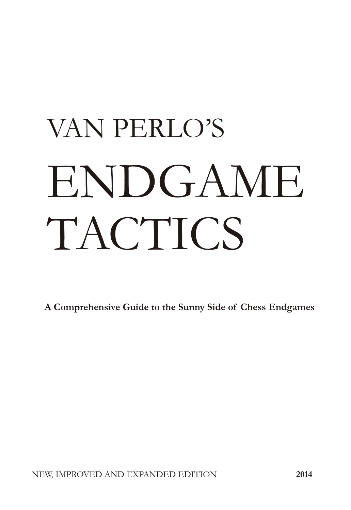# VAN PERLO'S **ENDGAME TACTICS**

A Comprehensive Guide to the Sunny Side of Chess Endgames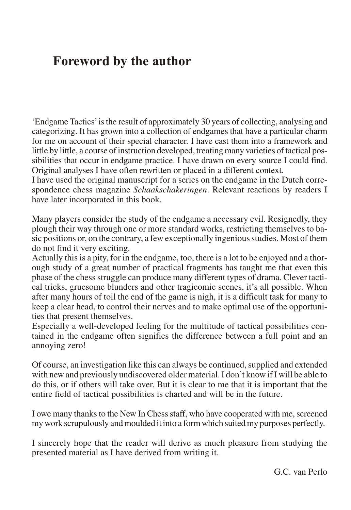### **Foreword by the author**

'Endgame Tactics' is the result of approximately 30 years of collecting, analysing and categorizing. It has grown into a collection of endgames that have a particular charm for me on account of their special character. I have cast them into a framework and little by little, a course of instruction developed, treating many varieties of tactical possibilities that occur in end game practice. I have drawn on every source I could find. Original analyses I have often rewritten or placed in a different context.

I have used the original manuscript for a series on the end game in the Dutch correspondence chess magazine *Schaakschakeringen*. Relevant reactions by readers I have later incorporated in this book.

Many players consider the study of the end game a necessary evil. Resignedly, they plough their way through one or more standard works, restricting themselves to basic positions or, on the contrary, a few exceptionally ingenious studies. Most of them do not find it very exciting.

Actually this is a pity, for in the endgame, too, there is a lot to be enjoyed and a thorough study of a great number of practical fragments has taught me that even this phase of the chess struggle can produce many different types of drama. Clever tactical tricks, gruesome blunders and other tragicomic scenes, it's all possible. When after many hours of toil the end of the game is nigh, it is a difficult task for many to keep a clear head, to control their nerves and to make optimal use of the opportunities that present themselves.

Especially a well-developed feeling for the multitude of tactical possibilities contained in the endgame often signifies the difference between a full point and an annoying zero!

Of course, an investigation like this can always be continued, supplied and extended with new and previously undiscovered older material. I don't know if I will be able to do this, or if others will take over. But it is clear to me that it is important that the entire field of tactical possibilities is charted and will be in the future.

I owe many thanks to the New In Chess staff, who have cooperated with me, screened my work scrupulously and moulded it into a form which suited my purposes perfectly.

I sincerely hope that the reader will derive as much pleasure from studying the presented material as I have derived from writing it.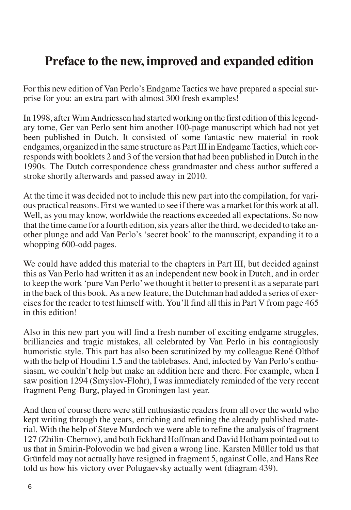### **Preface to the new, improved and expanded edition**

For this new edition of Van Perlo's Endgame Tactics we have prepared a special surprise for you: an extra part with almost 300 fresh examples!

In 1998, after Wim Andriessen had started working on the first edition of this legendary tome, Ger van Perlo sent him another 100-page manuscript which had not yet been published in Dutch. It consisted of some fantastic new material in rook endgames, organized in the same structure as Part III in Endgame Tactics, which corresponds with book lets 2 and 3 of the version that had been published in Dutch in the 1990s. The Dutch correspondence chess grandmaster and chess author suffered a stroke shortly afterwards and passed away in 2010.

At the time it was decided not to include this new part into the compilation, for various practical reasons. First we wanted to see if there was a market for this work at all. Well, as you may know, worldwide the reactions exceeded all expectations. So now that the time came for a fourth edition, six years after the third, we decided to take another plunge and add Van Perlo's 'secret book' to the manuscript, expanding it to a whopping 600-odd pages.

We could have added this material to the chapters in Part III, but decided against this as Van Perlo had written it as an independent new book in Dutch, and in order to keep the work 'pure Van Perlo' we thought it better to present it as a separate part in the back of this book. As a new feature, the Dutchman had added a series of exercises for the reader to test him self with. You'll find all this in Part V from page 465 in this edition!

Also in this new part you will find a fresh number of exciting end game struggles, brilliancies and tragic mistakes, all celebrated by Van Perlo in his contagiously humoristic style. This part has also been scrutinized by my colleague René Olthof with the help of Houdini 1.5 and the tablebases. And, infected by Van Perlo's enthusiasm, we couldn't help but make an addition here and there. For example, when I saw position 1294 (Smyslov-Flohr), I was immediately reminded of the very recent fragment Peng-Burg, played in Groningen last year.

And then of course there were still enthusiastic readers from all over the world who kept writing through the years, enriching and refining the already published material. With the help of Steve Murdoch we were able to refine the analysis of fragment 127 (Zhilin-Chernov), and both Eckhard Hoffman and David Hotham pointed out to us that in Smirin-Polovodin we had given a wrong line. Karsten Müller told us that Grünfeld may not actually have resigned in fragment 5, against Colle, and Hans Ree told us how his victory over Polugaevsky actually went (diagram 439).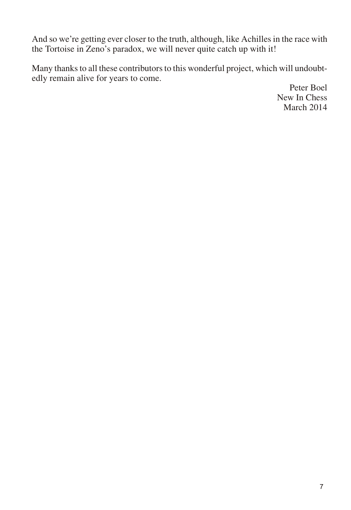And so we're getting ever closer to the truth, although, like Achilles in the race with the Tortoise in Zeno's paradox, we will never quite catch up with it!

Many thanks to all these contributors to this wonderful project, which will undoubtedly remain alive for years to come.

Peter Boel New In Chess March 2014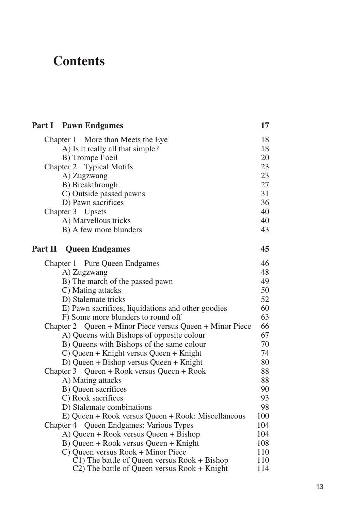## **Con tents**

<span id="page-4-0"></span>

|         | <b>Part I</b> Pawn Endgames                                                                  | 17         |
|---------|----------------------------------------------------------------------------------------------|------------|
|         | Chapter 1 More than Meets the Eye                                                            | 18         |
|         | A) Is it really all that simple?                                                             | 18         |
|         | B) Trompe l'oeil                                                                             | 20         |
|         | Chapter 2 Typical Motifs                                                                     | 23         |
|         | A) Zugzwang                                                                                  | 23         |
|         | B) Breakthrough                                                                              | 27         |
|         | C) Outside passed pawns                                                                      | 31         |
|         | D) Pawn sacrifices                                                                           | 36         |
|         | Chapter 3 Upsets                                                                             | 40         |
|         | A) Marvellous tricks                                                                         | 40         |
|         | B) A few more blunders                                                                       | 43         |
| Part II | <b>Queen Endgames</b>                                                                        | 45         |
|         | Chapter 1 Pure Queen Endgames                                                                | 46         |
|         | A) Zugzwang                                                                                  | 48         |
|         | B) The march of the passed pawn                                                              | 49         |
|         | C) Mating attacks                                                                            | 50         |
|         | D) Stalemate tricks                                                                          | 52         |
|         | E) Pawn sacrifices, liquidations and other goodies                                           | 60         |
|         | F) Some more blunders to round off                                                           | 63         |
|         | Chapter 2 Queen + Minor Piece versus Queen + Minor Piece                                     | 66         |
|         | A) Queens with Bishops of opposite colour                                                    | 67         |
|         | B) Queens with Bishops of the same colour                                                    | 70         |
|         | C) Queen + Knight versus Queen + Knight                                                      | 74         |
|         | D) Queen + Bishop versus Queen + Knight                                                      | 80         |
|         | Chapter 3 Queen + Rook versus Queen + Rook                                                   | 88         |
|         | A) Mating attacks                                                                            | 88         |
|         | B) Queen sacrifices                                                                          | 90         |
|         | C) Rook sacrifices                                                                           | 93         |
|         | D) Stalemate combinations                                                                    | 98         |
|         | E) Queen + Rook versus Queen + Rook: Miscellaneous                                           | 100        |
|         | Chapter 4 Queen Endgames: Various Types                                                      | 104        |
|         | A) Queen + Rook versus Queen + Bishop                                                        | 104        |
|         | B) Queen + Rook versus Queen + Knight                                                        | 108        |
|         | C) Queen versus Rook + Minor Piece                                                           | 110        |
|         | C1) The battle of Queen versus Rook + Bishop<br>C2) The battle of Queen versus Rook + Knight | 110<br>114 |
|         |                                                                                              |            |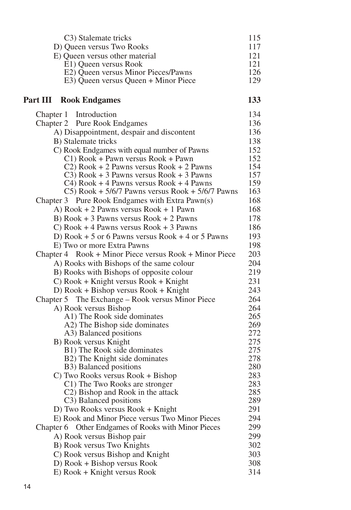<span id="page-5-0"></span>

| C3) Stalemate tricks                                                                          | 115        |
|-----------------------------------------------------------------------------------------------|------------|
| D) Queen versus Two Rooks                                                                     | 117        |
| E) Queen versus other material                                                                | 121        |
| E1) Queen versus Rook                                                                         | 121        |
| E2) Queen versus Minor Pieces/Pawns                                                           | 126        |
| E3) Queen versus Queen + Minor Piece                                                          | 129        |
| <b>Part III Rook Endgames</b>                                                                 | 133        |
| Chapter 1 Introduction                                                                        | 134        |
| Chapter 2 Pure Rook Endgames                                                                  | 136        |
| A) Disappointment, despair and discontent                                                     | 136        |
| B) Stalemate tricks                                                                           | 138        |
| C) Rook Endgames with equal number of Pawns                                                   | 152        |
| C1) Rook + Pawn versus Rook + Pawn                                                            | 152        |
| $C2$ ) Rook + 2 Pawns versus Rook + 2 Pawns                                                   | 154        |
| $C3$ ) Rook + 3 Pawns versus Rook + 3 Pawns                                                   | 157        |
| $C4$ ) Rook + 4 Pawns versus Rook + 4 Pawns                                                   | 159<br>163 |
| $C5$ ) Rook + 5/6/7 Pawns versus Rook + 5/6/7 Pawns                                           | 168        |
| Chapter 3 Pure Rook Endgames with Extra Pawn(s)<br>A) $Root + 2$ Pawns versus $Root + 1$ Pawn | 168        |
| B) Rook + 3 Pawns versus Rook + 2 Pawns                                                       | 178        |
| C) Rook $+4$ Pawns versus Rook $+3$ Pawns                                                     | 186        |
| D) Rook $+5$ or 6 Pawns versus Rook $+4$ or 5 Pawns                                           | 193        |
| E) Two or more Extra Pawns                                                                    | 198        |
| Chapter 4 Rook + Minor Piece versus Rook + Minor Piece                                        | 203        |
| A) Rooks with Bishops of the same colour                                                      | 204        |
| B) Rooks with Bishops of opposite colour                                                      | 219        |
| $C)$ Rook + Knight versus Rook + Knight                                                       | 231        |
| $D)$ Rook + Bishop versus Rook + Knight                                                       | 243        |
| Chapter 5 The Exchange – Rook versus Minor Piece                                              | 264        |
| A) Rook versus Bishop                                                                         | 264        |
| A1) The Rook side dominates                                                                   | 265        |
| A2) The Bishop side dominates                                                                 | 269        |
| A3) Balanced positions                                                                        | 272        |
| B) Rook versus Knight                                                                         | 275        |
| B1) The Rook side dominates                                                                   | 275        |
| B2) The Knight side dominates                                                                 | 278        |
| B3) Balanced positions                                                                        | 280        |
| C) Two Rooks versus Rook + Bishop<br>C1) The Two Rooks are stronger                           | 283<br>283 |
| C <sub>2</sub> ) Bishop and Rook in the attack                                                | 285        |
| C3) Balanced positions                                                                        | 289        |
| D) Two Rooks versus Rook + Knight                                                             | 291        |
| E) Rook and Minor Piece versus Two Minor Pieces                                               | 294        |
| Other Endgames of Rooks with Minor Pieces<br>Chapter 6                                        | 299        |
| A) Rook versus Bishop pair                                                                    | 299        |
| B) Rook versus Two Knights                                                                    | 302        |
| C) Rook versus Bishop and Knight                                                              | 303        |
| D) Rook + Bishop versus Rook                                                                  | 308        |
| E) Rook + Knight versus Rook                                                                  | 314        |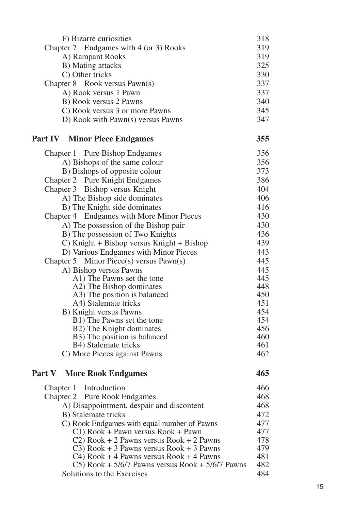<span id="page-6-0"></span>

| F) Bizarre curiosities                                   | 318        |
|----------------------------------------------------------|------------|
| Chapter 7 Endgames with 4 (or 3) Rooks                   | 319        |
| A) Rampant Rooks                                         | 319        |
| B) Mating attacks                                        | 325        |
| C) Other tricks                                          | 330        |
| Chapter 8 Rook versus Pawn(s)                            | 337        |
| A) Rook versus 1 Pawn                                    | 337        |
| B) Rook versus 2 Pawns                                   | 340        |
| C) Rook versus 3 or more Pawns                           | 345        |
| D) Rook with Pawn(s) versus Pawns                        | 347        |
| <b>Part IV Minor Piece Endgames</b>                      | 355        |
| Chapter 1 Pure Bishop Endgames                           | 356        |
| A) Bishops of the same colour                            | 356        |
| B) Bishops of opposite colour                            | 373        |
| Chapter 2 Pure Knight Endgames                           | 386        |
| Chapter 3 Bishop versus Knight                           | 404        |
| A) The Bishop side dominates                             | 406        |
| B) The Knight side dominates                             | 416        |
| Chapter 4 Endgames with More Minor Pieces                | 430        |
| A) The possession of the Bishop pair                     | 430        |
| B) The possession of Two Knights                         | 436        |
| C) Knight + Bishop versus Knight + Bishop                | 439        |
| D) Various Endgames with Minor Pieces                    | 443        |
| Chapter 5 Minor Piece(s) versus Pawn(s)                  | 445        |
| A) Bishop versus Pawns                                   | 445        |
| A1) The Pawns set the tone                               | 445        |
| A2) The Bishop dominates<br>A3) The position is balanced | 448<br>450 |
| A4) Stalemate tricks                                     | 451        |
| B) Knight versus Pawns                                   | 454        |
| B1) The Pawns set the tone                               | 454        |
| B2) The Knight dominates                                 | 456        |
| B3) The position is balanced                             | 460        |
| B4) Stalemate tricks                                     | 461        |
| C) More Pieces against Pawns                             | 462        |
| <b>Part V</b> More Rook Endgames                         | 465        |
| Introduction<br>Chapter 1                                | 466        |
| Chapter 2 Pure Rook Endgames                             | 468        |
| A) Disappointment, despair and discontent                | 468        |
| B) Stalemate tricks                                      | 472        |
| C) Rook Endgames with equal number of Pawns              | 477        |
| C1) Rook + Pawn versus Rook + Pawn                       | 477        |
| $C2$ ) Rook + 2 Pawns versus Rook + 2 Pawns              | 478        |
| $C3$ ) Rook + 3 Pawns versus Rook + 3 Pawns              | 479        |
| $C4)$ Rook + 4 Pawns versus Rook + 4 Pawns               | 481        |
| C5) Rook + $5/6/7$ Pawns versus Rook + $5/6/7$ Pawns     | 482        |
| Solutions to the Exercises                               | 484        |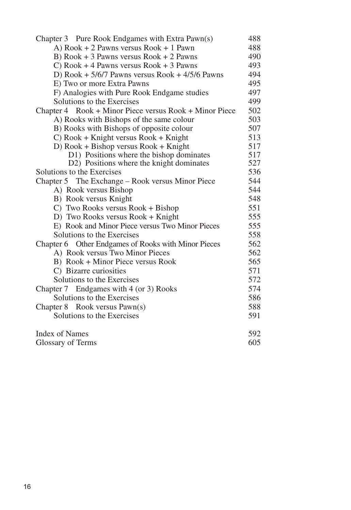<span id="page-7-0"></span>

| Chapter 3 Pure Rook Endgames with Extra Pawn(s)        | 488        |  |
|--------------------------------------------------------|------------|--|
| A) $Root + 2$ Pawns versus $Root + 1$ Pawn             | 488        |  |
| B) Rook + 3 Pawns versus Rook + 2 Pawns                |            |  |
| C) Rook $+4$ Pawns versus Rook $+3$ Pawns              |            |  |
| D) Rook + $5/6/7$ Pawns versus Rook + $4/5/6$ Pawns    |            |  |
| E) Two or more Extra Pawns                             | 495        |  |
| F) Analogies with Pure Rook Endgame studies            | 497        |  |
| Solutions to the Exercises                             | 499        |  |
| Chapter 4 Rook + Minor Piece versus Rook + Minor Piece |            |  |
| A) Rooks with Bishops of the same colour               | 503        |  |
| B) Rooks with Bishops of opposite colour               | 507        |  |
| $C)$ Rook + Knight versus Rook + Knight                | 513        |  |
| $D)$ Rook + Bishop versus Rook + Knight                | 517        |  |
| D1) Positions where the bishop dominates               | 517        |  |
| D2) Positions where the knight dominates               | 527        |  |
| Solutions to the Exercises                             | 536<br>544 |  |
| Chapter 5 The Exchange – Rook versus Minor Piece       |            |  |
| A) Rook versus Bishop                                  | 544        |  |
| B) Rook versus Knight                                  | 548        |  |
| C) Two Rooks versus Rook + Bishop                      | 551        |  |
| D) Two Rooks versus Rook + Knight                      | 555        |  |
| E) Rook and Minor Piece versus Two Minor Pieces        | 555        |  |
| Solutions to the Exercises                             | 558        |  |
| Chapter 6 Other Endgames of Rooks with Minor Pieces    | 562        |  |
| A) Rook versus Two Minor Pieces                        | 562        |  |
| B) Rook + Minor Piece versus Rook                      | 565        |  |
| C) Bizarre curiosities                                 | 571        |  |
| Solutions to the Exercises                             | 572        |  |
| Chapter 7 Endgames with 4 (or 3) Rooks                 | 574        |  |
| Solutions to the Exercises                             | 586        |  |
| Chapter 8 Rook versus Pawn(s)                          | 588        |  |
| Solutions to the Exercises                             | 591        |  |
| Index of Names                                         | 592<br>605 |  |
| Glossary of Terms                                      |            |  |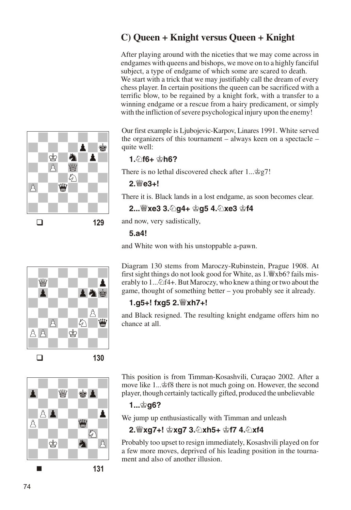### <span id="page-8-0"></span>C) Queen + Knight versus Queen + Knight

After playing around with the niceties that we may come across in endgames with queens and bishops, we move on to a highly fanciful subject, a type of endgame of which some are scared to death. We start with a trick that we may justifiably call the dream of every chess player. In certain positions the queen can be sacrificed with a terrific blow, to be regained by a knight fork, with a transfer to a winning endgame or a rescue from a hairy predicament, or simply with the infliction of severe psychological injury upon the enemy!

Our first example is Ljubojevic-Karpov, Linares 1991. White served the organizers of this tournament  $-$  always keen on a spectacle  $$ quite well:

### 1.2f6+ gh6?

There is no lethal discovered check after  $1...\hat{g}_2$ .

### 2. We3+!

There it is. Black lands in a lost endgame, as soon becomes clear.

2... sxe3 3. 2g4+ \$g5 4. 2xe3 \$f4

and now, very sadistically,

### $5.a4!$

and White won with his unstoppable a-pawn.

Diagram 130 stems from Maroczy-Rubinstein, Prague 1908. At first sight things do not look good for White, as 1. Wxb6? fails miserably to 1... $\triangle$ f4+. But Maroczy, who knew a thing or two about the game, thought of something better – you probably see it already.

### 1.g5+! fxg5 2. Wxh7+!

and Black resigned. The resulting knight endgame offers him no chance at all.



This position is from Timman-Kosashvili, Curaçao 2002. After a move like 1... \$f8 there is not much going on. However, the second player, though certainly tactically gifted, produced the unbelievable

### 1…ൠα6?

We jump up enthusiastically with Timman and unleash

### 2. wxq7+! \$xq7 3. 2xh5+ \$f7 4. 2xf4

Probably too upset to resign immediately, Kosashvili played on for a few more moves, deprived of his leading position in the tournament and also of another illusion.



Å

 $\beta$ 

Å

 $\Box$ 

130

129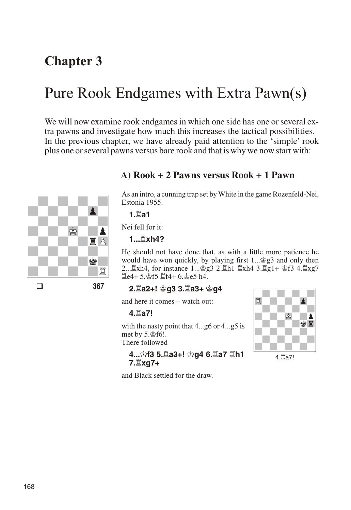### <span id="page-9-0"></span>**Chapter 3**

# Pure Rook Endgames with Extra Pawn(s)

We will now examine rook endgames in which one side has one or several extra pawns and investigate how much this increases the tactical possibilities. In the previous chapter, we have already paid attention to the 'simple' rook plus one or several pawns versus bare rook and that is why we now start with:



### A) Rook + 2 Pawns versus Rook + 1 Pawn

As an intro, a cunning trap set by White in the game Rozenfeld-Nei, Estonia 1955.

1 ปีล1

Nei fell for it:

### 1... Internal

He should not have done that, as with a little more patience he would have won quickly, by playing first 1... \$g3 and only then 2... Exh4, for instance 1... g3 2. Eh1 Exh4 3. Eg1+ gf3 4. Exg7 置e4+5. f5 置f4+6. ge5 h4.

#### 367

### 2. a2+! 含g3 3. la3+ 含g4

and here it comes – watch out:

#### 4. la7!

with the nasty point that 4...g6 or 4...g5 is met by 5.\$f6!.

There followed

4... \$f3 5. $\Xi$ a3+! \$q4 6. $\Xi$ a7  $\Xi$ h1 7. Lxg7+

4. a7!

and Black settled for the draw.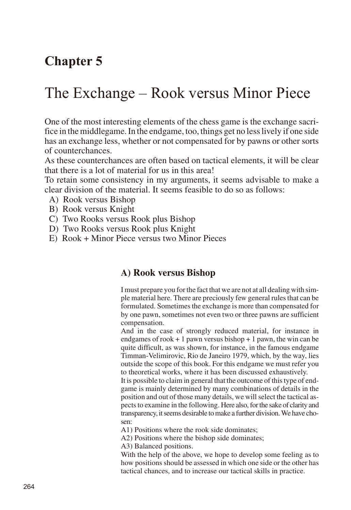### <span id="page-10-0"></span>**Chap ter 5**

# The Exchange – Rook versus Minor Piece

One of the most interesting elements of the chess game is the exchange sacrifice in the middlegame. In the endgame, too, things get no less lively if one side has an exchange less, whether or not compensated for by pawns or other sorts of counterchances.

As these counterchances are often based on tactical elements, it will be clear that there is a lot of material for us in this area!

To retain some consistency in my arguments, it seems advisable to make a clear division of the material. It seems feasible to do so as follows:

- A) Rook versus Bishop
- B) Rook versus Knight
- C) Two Rooks versus Rook plus Bishop
- D) Two Rooks versus Rook plus Knight
- E) Rook + Minor Piece versus two Minor Pieces

### A) Rook versus Bishop

I must prepare you for the fact that we are not at all dealing with simple material here. There are preciously few general rules that can be formulated. Sometimes the exchange is more than compensated for by one pawn, sometimes not even two or three pawns are sufficient compensation.

And in the case of strongly reduced material, for instance in endgames of rook  $+1$  pawn versus bishop  $+1$  pawn, the win can be quite difficult, as was shown, for instance, in the famous endgame Timman-Velimirovic, Rio de Janeiro 1979, which, by the way, lies out side the scope of this book. For this end game we must refer you to the oretical works, where it has been discussed exhaustively.

It is possible to claim in general that the outcome of this type of endgame is mainly determined by many combinations of details in the position and out of those many details, we will select the tactical aspects to examine in the following. Here also, for the sake of clarity and transparency, it seems desirable to make a further division. We have chosen:

A1) Positions where the rook side dominates;

A2) Positions where the bishop side dominates;

A3) Balanced positions.

With the help of the above, we hope to develop some feeling as to how positions should be assessed in which one side or the other has tactical chances, and to increase our tactical skills in practice.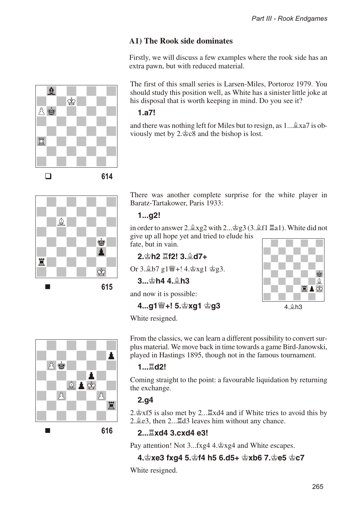### A1) The Rook side dominates

Firstly, we will discuss a few examples where the rook side has an extra pawn, but with reduced material.

The first of this small series is Larsen-Miles, Portoroz 1979. You should study this position well, as White has a sinister little joke at his disposal that is worth keeping in mind. Do you see it?

#### $1.a7!$

and there was nothing left for Miles but to resign, as 1... 2xa7 is obviously met by  $2.\&c8$  and the bishop is lost.



614

<span id="page-11-0"></span> $\mathbf{\Phi}$ 

八些

Ë

 $\Box$ 

Å

There was another complete surprise for the white player in Baratz-Tartakower, Paris 1933:

#### $1...q2!$

in order to answer 2. $\angle xg2$  with 2... $\angle g3$  (3. $\angle f1$   $\angle a1$ ). White did not give up all hope yet and tried to elude his fate, but in vain.

### 2. h2 耳f2! 3. @ d7+

Or 3. b7 g1 |4. \$xg1 \$g3.

#### $3 \dots \&h44 \oplus h3$

and now it is possible:

### 4...q1營+! 5. \$xq1 \$q3



White resigned.



From the classics, we can learn a different possibility to convert surplus material. We move back in time towards a game Bird-Janowski, played in Hastings 1895, though not in the famous tournament.

#### $1...$  $\overline{1}$ d2!

Coming straight to the point: a favourable liquidation by returning the exchange.

### $2.q4$

2. $\mathcal{L}$  xf5 is also met by 2... $\mathbb{Z}$ xd4 and if White tries to avoid this by 2. $\angle$  e3, then 2... $\angle$  d3 leaves him without any chance.

### 2... IIxd4 3.cxd4 e3!

Pay attention! Not 3...fxg4 4. $\frac{3}{2}$ xg4 and White escapes.

### 4. gxe3 fxg4 5. gf4 h5 6.d5+ gxb6 7. ge5 gc7

White resigned.